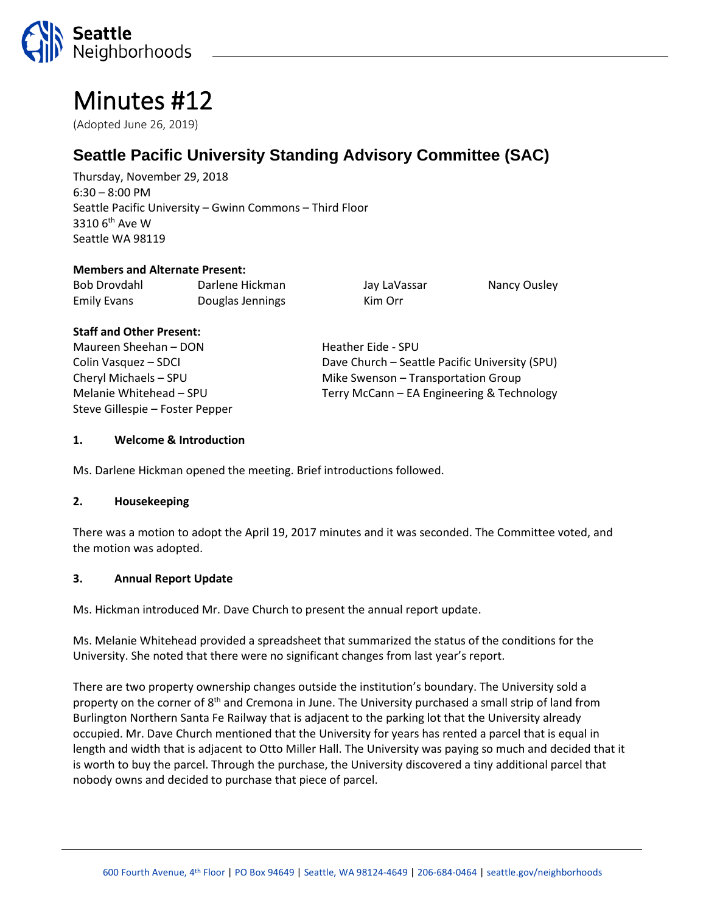

# Minutes #12

(Adopted June 26, 2019)

# **Seattle Pacific University Standing Advisory Committee (SAC)**

Thursday, November 29, 2018 6:30 – 8:00 PM Seattle Pacific University – Gwinn Commons – Third Floor  $3310$  6<sup>th</sup> Ave W Seattle WA 98119

#### **Members and Alternate Present:**

| Bob Drovdahl       | Darlene Hickman  | Jay LaVassar | Nancy Ousley |
|--------------------|------------------|--------------|--------------|
| <b>Emily Evans</b> | Douglas Jennings | Kim Orr      |              |

#### **Staff and Other Present:**

Maureen Sheehan – DON Heather Eide - SPU Steve Gillespie – Foster Pepper

Colin Vasquez – SDCI Dave Church – Seattle Pacific University (SPU) Cheryl Michaels – SPU Mike Swenson – Transportation Group Melanie Whitehead – SPU Terry McCann – EA Engineering & Technology

## **1. Welcome & Introduction**

Ms. Darlene Hickman opened the meeting. Brief introductions followed.

#### **2. Housekeeping**

There was a motion to adopt the April 19, 2017 minutes and it was seconded. The Committee voted, and the motion was adopted.

#### **3. Annual Report Update**

Ms. Hickman introduced Mr. Dave Church to present the annual report update.

Ms. Melanie Whitehead provided a spreadsheet that summarized the status of the conditions for the University. She noted that there were no significant changes from last year's report.

There are two property ownership changes outside the institution's boundary. The University sold a property on the corner of 8<sup>th</sup> and Cremona in June. The University purchased a small strip of land from Burlington Northern Santa Fe Railway that is adjacent to the parking lot that the University already occupied. Mr. Dave Church mentioned that the University for years has rented a parcel that is equal in length and width that is adjacent to Otto Miller Hall. The University was paying so much and decided that it is worth to buy the parcel. Through the purchase, the University discovered a tiny additional parcel that nobody owns and decided to purchase that piece of parcel.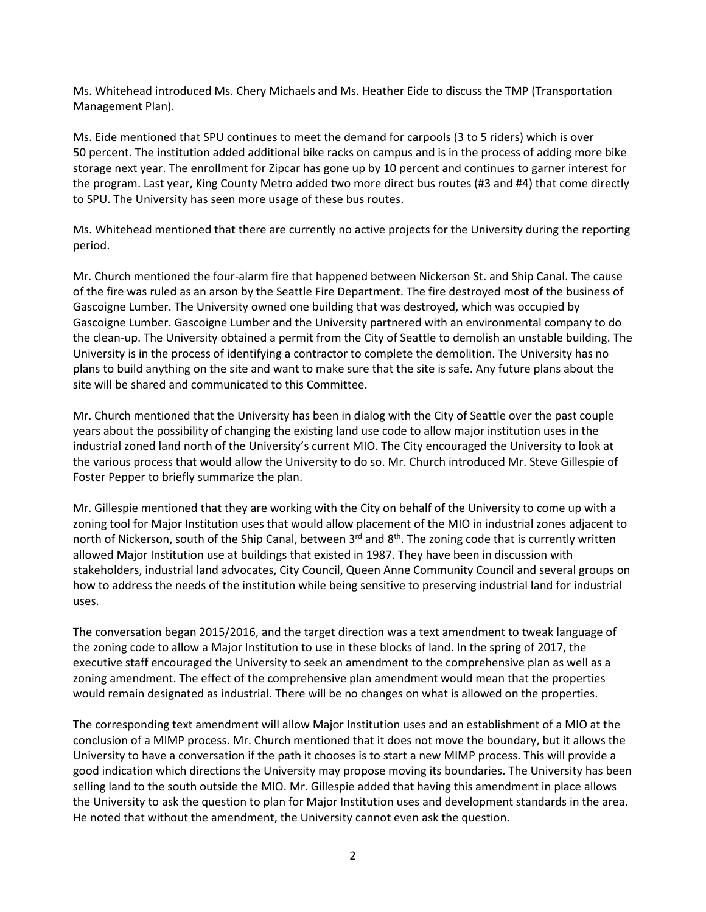Ms. Whitehead introduced Ms. Chery Michaels and Ms. Heather Eide to discuss the TMP (Transportation Management Plan).

Ms. Eide mentioned that SPU continues to meet the demand for carpools (3 to 5 riders) which is over 50 percent. The institution added additional bike racks on campus and is in the process of adding more bike storage next year. The enrollment for Zipcar has gone up by 10 percent and continues to garner interest for the program. Last year, King County Metro added two more direct bus routes (#3 and #4) that come directly to SPU. The University has seen more usage of these bus routes.

Ms. Whitehead mentioned that there are currently no active projects for the University during the reporting period.

Mr. Church mentioned the four-alarm fire that happened between Nickerson St. and Ship Canal. The cause of the fire was ruled as an arson by the Seattle Fire Department. The fire destroyed most of the business of Gascoigne Lumber. The University owned one building that was destroyed, which was occupied by Gascoigne Lumber. Gascoigne Lumber and the University partnered with an environmental company to do the clean-up. The University obtained a permit from the City of Seattle to demolish an unstable building. The University is in the process of identifying a contractor to complete the demolition. The University has no plans to build anything on the site and want to make sure that the site is safe. Any future plans about the site will be shared and communicated to this Committee.

Mr. Church mentioned that the University has been in dialog with the City of Seattle over the past couple years about the possibility of changing the existing land use code to allow major institution uses in the industrial zoned land north of the University's current MIO. The City encouraged the University to look at the various process that would allow the University to do so. Mr. Church introduced Mr. Steve Gillespie of Foster Pepper to briefly summarize the plan.

Mr. Gillespie mentioned that they are working with the City on behalf of the University to come up with a zoning tool for Major Institution uses that would allow placement of the MIO in industrial zones adjacent to north of Nickerson, south of the Ship Canal, between 3<sup>rd</sup> and 8<sup>th</sup>. The zoning code that is currently written allowed Major Institution use at buildings that existed in 1987. They have been in discussion with stakeholders, industrial land advocates, City Council, Queen Anne Community Council and several groups on how to address the needs of the institution while being sensitive to preserving industrial land for industrial uses.

The conversation began 2015/2016, and the target direction was a text amendment to tweak language of the zoning code to allow a Major Institution to use in these blocks of land. In the spring of 2017, the executive staff encouraged the University to seek an amendment to the comprehensive plan as well as a zoning amendment. The effect of the comprehensive plan amendment would mean that the properties would remain designated as industrial. There will be no changes on what is allowed on the properties.

The corresponding text amendment will allow Major Institution uses and an establishment of a MIO at the conclusion of a MIMP process. Mr. Church mentioned that it does not move the boundary, but it allows the University to have a conversation if the path it chooses is to start a new MIMP process. This will provide a good indication which directions the University may propose moving its boundaries. The University has been selling land to the south outside the MIO. Mr. Gillespie added that having this amendment in place allows the University to ask the question to plan for Major Institution uses and development standards in the area. He noted that without the amendment, the University cannot even ask the question.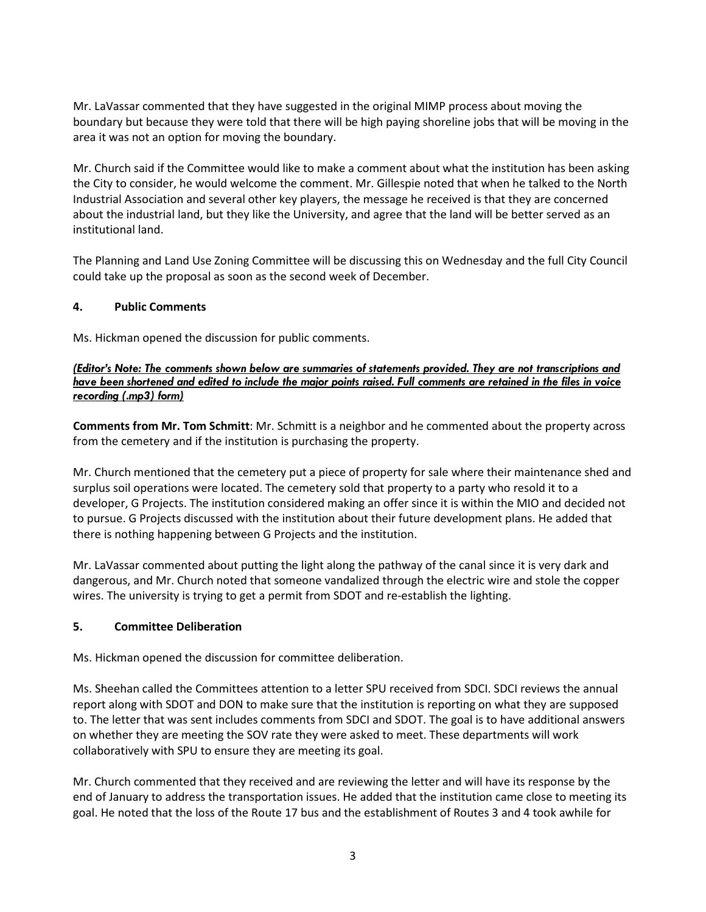Mr. LaVassar commented that they have suggested in the original MIMP process about moving the boundary but because they were told that there will be high paying shoreline jobs that will be moving in the area it was not an option for moving the boundary.

Mr. Church said if the Committee would like to make a comment about what the institution has been asking the City to consider, he would welcome the comment. Mr. Gillespie noted that when he talked to the North Industrial Association and several other key players, the message he received is that they are concerned about the industrial land, but they like the University, and agree that the land will be better served as an institutional land.

The Planning and Land Use Zoning Committee will be discussing this on Wednesday and the full City Council could take up the proposal as soon as the second week of December.

## **4. Public Comments**

Ms. Hickman opened the discussion for public comments.

#### *(Editor's Note: The comments shown below are summaries of statements provided. They are not transcriptions and have been shortened and edited to include the major points raised. Full comments are retained in the files in voice recording (.mp3) form)*

**Comments from Mr. Tom Schmitt**: Mr. Schmitt is a neighbor and he commented about the property across from the cemetery and if the institution is purchasing the property.

Mr. Church mentioned that the cemetery put a piece of property for sale where their maintenance shed and surplus soil operations were located. The cemetery sold that property to a party who resold it to a developer, G Projects. The institution considered making an offer since it is within the MIO and decided not to pursue. G Projects discussed with the institution about their future development plans. He added that there is nothing happening between G Projects and the institution.

Mr. LaVassar commented about putting the light along the pathway of the canal since it is very dark and dangerous, and Mr. Church noted that someone vandalized through the electric wire and stole the copper wires. The university is trying to get a permit from SDOT and re-establish the lighting.

#### **5. Committee Deliberation**

Ms. Hickman opened the discussion for committee deliberation.

Ms. Sheehan called the Committees attention to a letter SPU received from SDCI. SDCI reviews the annual report along with SDOT and DON to make sure that the institution is reporting on what they are supposed to. The letter that was sent includes comments from SDCI and SDOT. The goal is to have additional answers on whether they are meeting the SOV rate they were asked to meet. These departments will work collaboratively with SPU to ensure they are meeting its goal.

Mr. Church commented that they received and are reviewing the letter and will have its response by the end of January to address the transportation issues. He added that the institution came close to meeting its goal. He noted that the loss of the Route 17 bus and the establishment of Routes 3 and 4 took awhile for